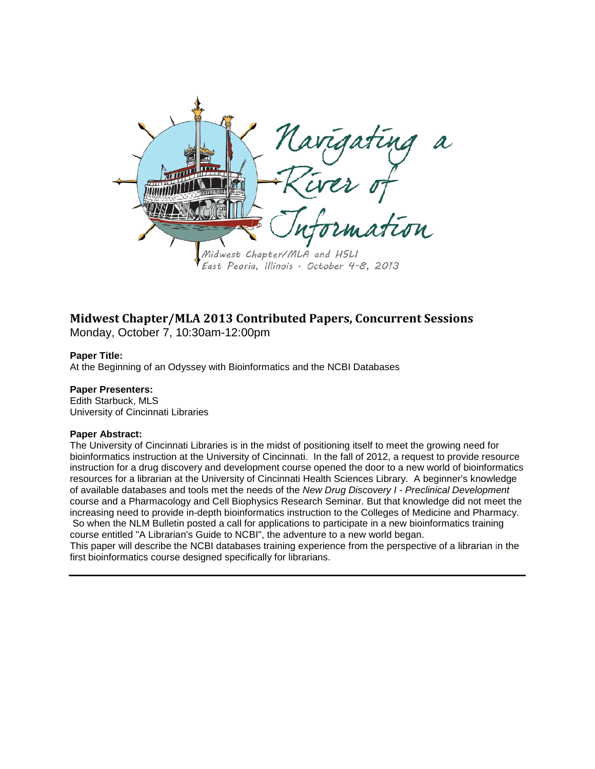

# **Midwest Chapter/MLA 2013 Contributed Papers, Concurrent Sessions**

Monday, October 7, 10:30am-12:00pm

# **Paper Title:**

At the Beginning of an Odyssey with Bioinformatics and the NCBI Databases

# **Paper Presenters:**

Edith Starbuck, MLS University of Cincinnati Libraries

# **Paper Abstract:**

The University of Cincinnati Libraries is in the midst of positioning itself to meet the growing need for bioinformatics instruction at the University of Cincinnati. In the fall of 2012, a request to provide resource instruction for a drug discovery and development course opened the door to a new world of bioinformatics resources for a librarian at the University of Cincinnati Health Sciences Library. A beginner's knowledge of available databases and tools met the needs of the *New Drug Discovery I - Preclinical Development*  course and a Pharmacology and Cell Biophysics Research Seminar. But that knowledge did not meet the increasing need to provide in-depth bioinformatics instruction to the Colleges of Medicine and Pharmacy. So when the NLM Bulletin posted a call for applications to participate in a new bioinformatics training course entitled "A Librarian's Guide to NCBI", the adventure to a new world began.

This paper will describe the NCBI databases training experience from the perspective of a librarian in the first bioinformatics course designed specifically for librarians.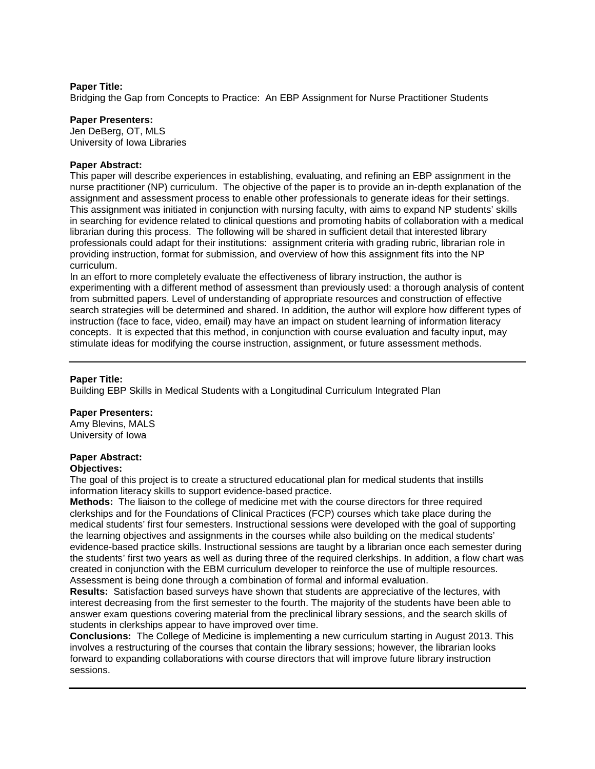Bridging the Gap from Concepts to Practice: An EBP Assignment for Nurse Practitioner Students

## **Paper Presenters:**

Jen DeBerg, OT, MLS University of Iowa Libraries

# **Paper Abstract:**

This paper will describe experiences in establishing, evaluating, and refining an EBP assignment in the nurse practitioner (NP) curriculum. The objective of the paper is to provide an in-depth explanation of the assignment and assessment process to enable other professionals to generate ideas for their settings. This assignment was initiated in conjunction with nursing faculty, with aims to expand NP students' skills in searching for evidence related to clinical questions and promoting habits of collaboration with a medical librarian during this process. The following will be shared in sufficient detail that interested library professionals could adapt for their institutions: assignment criteria with grading rubric, librarian role in providing instruction, format for submission, and overview of how this assignment fits into the NP curriculum.

In an effort to more completely evaluate the effectiveness of library instruction, the author is experimenting with a different method of assessment than previously used: a thorough analysis of content from submitted papers. Level of understanding of appropriate resources and construction of effective search strategies will be determined and shared. In addition, the author will explore how different types of instruction (face to face, video, email) may have an impact on student learning of information literacy concepts. It is expected that this method, in conjunction with course evaluation and faculty input, may stimulate ideas for modifying the course instruction, assignment, or future assessment methods.

# **Paper Title:**

Building EBP Skills in Medical Students with a Longitudinal Curriculum Integrated Plan

# **Paper Presenters:**

Amy Blevins, MALS University of Iowa

# **Paper Abstract:**

## **Objectives:**

The goal of this project is to create a structured educational plan for medical students that instills information literacy skills to support evidence-based practice.

**Methods:** The liaison to the college of medicine met with the course directors for three required clerkships and for the Foundations of Clinical Practices (FCP) courses which take place during the medical students' first four semesters. Instructional sessions were developed with the goal of supporting the learning objectives and assignments in the courses while also building on the medical students' evidence-based practice skills. Instructional sessions are taught by a librarian once each semester during the students' first two years as well as during three of the required clerkships. In addition, a flow chart was created in conjunction with the EBM curriculum developer to reinforce the use of multiple resources. Assessment is being done through a combination of formal and informal evaluation.

**Results:** Satisfaction based surveys have shown that students are appreciative of the lectures, with interest decreasing from the first semester to the fourth. The majority of the students have been able to answer exam questions covering material from the preclinical library sessions, and the search skills of students in clerkships appear to have improved over time.

**Conclusions:** The College of Medicine is implementing a new curriculum starting in August 2013. This involves a restructuring of the courses that contain the library sessions; however, the librarian looks forward to expanding collaborations with course directors that will improve future library instruction sessions.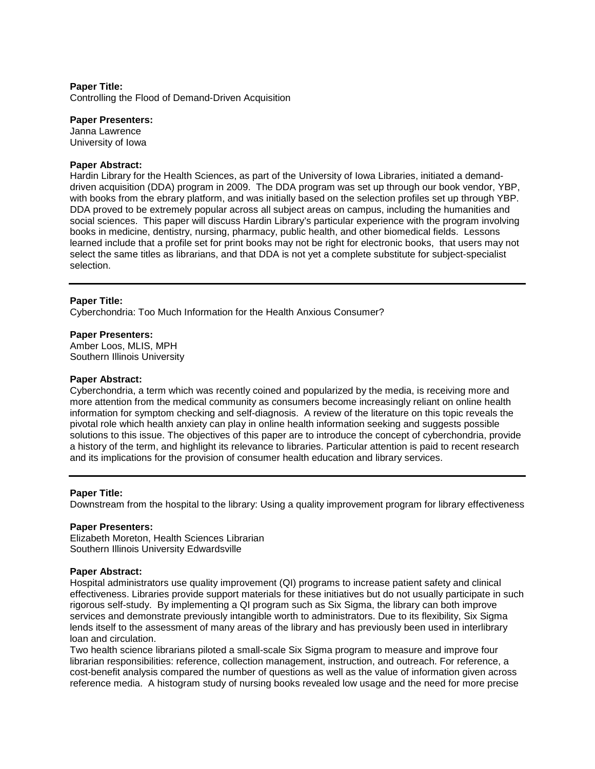Controlling the Flood of Demand-Driven Acquisition

## **Paper Presenters:**

Janna Lawrence University of Iowa

# **Paper Abstract:**

Hardin Library for the Health Sciences, as part of the University of Iowa Libraries, initiated a demanddriven acquisition (DDA) program in 2009. The DDA program was set up through our book vendor, YBP, with books from the ebrary platform, and was initially based on the selection profiles set up through YBP. DDA proved to be extremely popular across all subject areas on campus, including the humanities and social sciences. This paper will discuss Hardin Library's particular experience with the program involving books in medicine, dentistry, nursing, pharmacy, public health, and other biomedical fields. Lessons learned include that a profile set for print books may not be right for electronic books, that users may not select the same titles as librarians, and that DDA is not yet a complete substitute for subject-specialist selection.

# **Paper Title:**

Cyberchondria: Too Much Information for the Health Anxious Consumer?

#### **Paper Presenters:**

Amber Loos, MLIS, MPH Southern Illinois University

## **Paper Abstract:**

Cyberchondria, a term which was recently coined and popularized by the media, is receiving more and more attention from the medical community as consumers become increasingly reliant on online health information for symptom checking and self-diagnosis. A review of the literature on this topic reveals the pivotal role which health anxiety can play in online health information seeking and suggests possible solutions to this issue. The objectives of this paper are to introduce the concept of cyberchondria, provide a history of the term, and highlight its relevance to libraries. Particular attention is paid to recent research and its implications for the provision of consumer health education and library services.

# **Paper Title:**

Downstream from the hospital to the library: Using a quality improvement program for library effectiveness

## **Paper Presenters:**

Elizabeth Moreton, Health Sciences Librarian Southern Illinois University Edwardsville

## **Paper Abstract:**

Hospital administrators use quality improvement (QI) programs to increase patient safety and clinical effectiveness. Libraries provide support materials for these initiatives but do not usually participate in such rigorous self-study. By implementing a QI program such as Six Sigma, the library can both improve services and demonstrate previously intangible worth to administrators. Due to its flexibility, Six Sigma lends itself to the assessment of many areas of the library and has previously been used in interlibrary loan and circulation.

Two health science librarians piloted a small-scale Six Sigma program to measure and improve four librarian responsibilities: reference, collection management, instruction, and outreach. For reference, a cost-benefit analysis compared the number of questions as well as the value of information given across reference media. A histogram study of nursing books revealed low usage and the need for more precise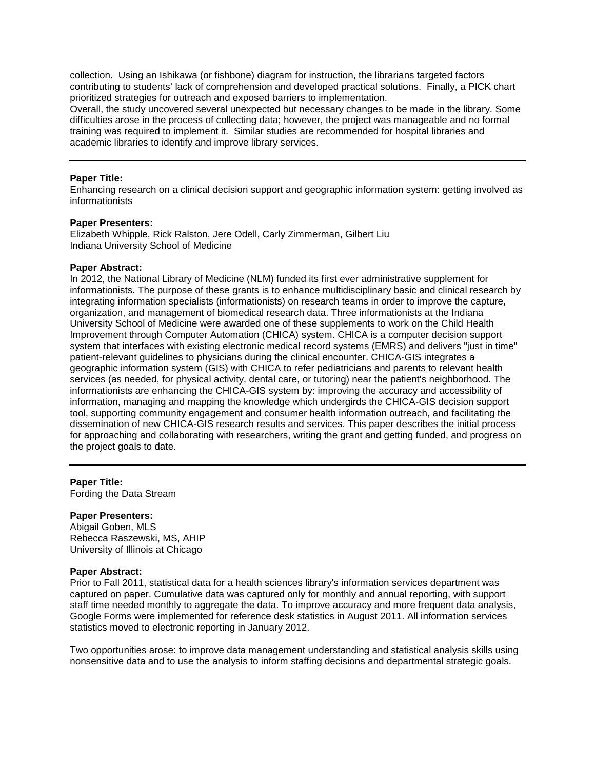collection. Using an Ishikawa (or fishbone) diagram for instruction, the librarians targeted factors contributing to students' lack of comprehension and developed practical solutions. Finally, a PICK chart prioritized strategies for outreach and exposed barriers to implementation.

Overall, the study uncovered several unexpected but necessary changes to be made in the library. Some difficulties arose in the process of collecting data; however, the project was manageable and no formal training was required to implement it. Similar studies are recommended for hospital libraries and academic libraries to identify and improve library services.

# **Paper Title:**

Enhancing research on a clinical decision support and geographic information system: getting involved as informationists

## **Paper Presenters:**

Elizabeth Whipple, Rick Ralston, Jere Odell, Carly Zimmerman, Gilbert Liu Indiana University School of Medicine

# **Paper Abstract:**

In 2012, the National Library of Medicine (NLM) funded its first ever administrative supplement for informationists. The purpose of these grants is to enhance multidisciplinary basic and clinical research by integrating information specialists (informationists) on research teams in order to improve the capture, organization, and management of biomedical research data. Three informationists at the Indiana University School of Medicine were awarded one of these supplements to work on the Child Health Improvement through Computer Automation (CHICA) system. CHICA is a computer decision support system that interfaces with existing electronic medical record systems (EMRS) and delivers "just in time" patient-relevant guidelines to physicians during the clinical encounter. CHICA-GIS integrates a geographic information system (GIS) with CHICA to refer pediatricians and parents to relevant health services (as needed, for physical activity, dental care, or tutoring) near the patient's neighborhood. The informationists are enhancing the CHICA-GIS system by: improving the accuracy and accessibility of information, managing and mapping the knowledge which undergirds the CHICA-GIS decision support tool, supporting community engagement and consumer health information outreach, and facilitating the dissemination of new CHICA-GIS research results and services. This paper describes the initial process for approaching and collaborating with researchers, writing the grant and getting funded, and progress on the project goals to date.

## **Paper Title:**

Fording the Data Stream

## **Paper Presenters:**

Abigail Goben, MLS Rebecca Raszewski, MS, AHIP University of Illinois at Chicago

## **Paper Abstract:**

Prior to Fall 2011, statistical data for a health sciences library's information services department was captured on paper. Cumulative data was captured only for monthly and annual reporting, with support staff time needed monthly to aggregate the data. To improve accuracy and more frequent data analysis, Google Forms were implemented for reference desk statistics in August 2011. All information services statistics moved to electronic reporting in January 2012.

Two opportunities arose: to improve data management understanding and statistical analysis skills using nonsensitive data and to use the analysis to inform staffing decisions and departmental strategic goals.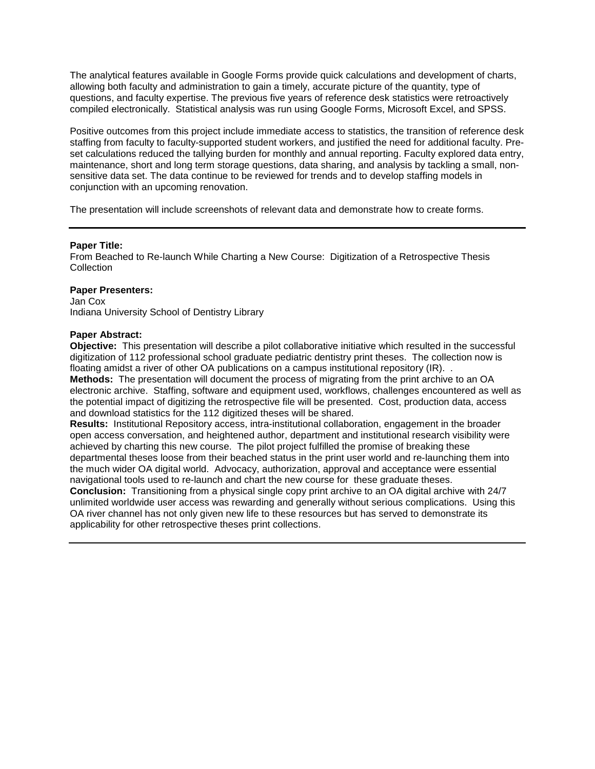The analytical features available in Google Forms provide quick calculations and development of charts, allowing both faculty and administration to gain a timely, accurate picture of the quantity, type of questions, and faculty expertise. The previous five years of reference desk statistics were retroactively compiled electronically. Statistical analysis was run using Google Forms, Microsoft Excel, and SPSS.

Positive outcomes from this project include immediate access to statistics, the transition of reference desk staffing from faculty to faculty-supported student workers, and justified the need for additional faculty. Preset calculations reduced the tallying burden for monthly and annual reporting. Faculty explored data entry, maintenance, short and long term storage questions, data sharing, and analysis by tackling a small, nonsensitive data set. The data continue to be reviewed for trends and to develop staffing models in conjunction with an upcoming renovation.

The presentation will include screenshots of relevant data and demonstrate how to create forms.

# **Paper Title:**

From Beached to Re-launch While Charting a New Course: Digitization of a Retrospective Thesis **Collection** 

# **Paper Presenters:**

Jan Cox Indiana University School of Dentistry Library

# **Paper Abstract:**

**Objective:** This presentation will describe a pilot collaborative initiative which resulted in the successful digitization of 112 professional school graduate pediatric dentistry print theses. The collection now is floating amidst a river of other OA publications on a campus institutional repository (IR). .

**Methods:** The presentation will document the process of migrating from the print archive to an OA electronic archive. Staffing, software and equipment used, workflows, challenges encountered as well as the potential impact of digitizing the retrospective file will be presented. Cost, production data, access and download statistics for the 112 digitized theses will be shared.

**Results:** Institutional Repository access, intra-institutional collaboration, engagement in the broader open access conversation, and heightened author, department and institutional research visibility were achieved by charting this new course. The pilot project fulfilled the promise of breaking these departmental theses loose from their beached status in the print user world and re-launching them into the much wider OA digital world. Advocacy, authorization, approval and acceptance were essential navigational tools used to re-launch and chart the new course for these graduate theses.

**Conclusion:** Transitioning from a physical single copy print archive to an OA digital archive with 24/7 unlimited worldwide user access was rewarding and generally without serious complications. Using this OA river channel has not only given new life to these resources but has served to demonstrate its applicability for other retrospective theses print collections.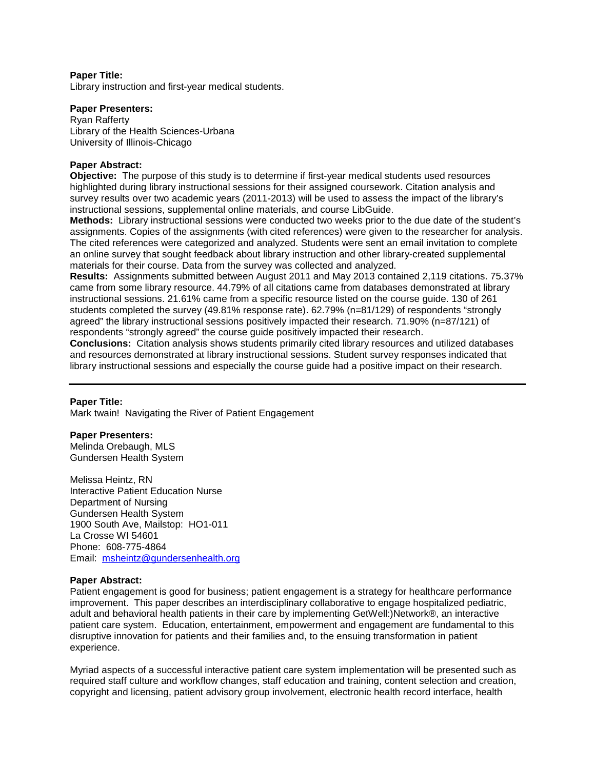Library instruction and first-year medical students.

# **Paper Presenters:**

Ryan Rafferty Library of the Health Sciences-Urbana University of Illinois-Chicago

# **Paper Abstract:**

**Objective:** The purpose of this study is to determine if first-year medical students used resources highlighted during library instructional sessions for their assigned coursework. Citation analysis and survey results over two academic years (2011-2013) will be used to assess the impact of the library's instructional sessions, supplemental online materials, and course LibGuide.

**Methods:** Library instructional sessions were conducted two weeks prior to the due date of the student's assignments. Copies of the assignments (with cited references) were given to the researcher for analysis. The cited references were categorized and analyzed. Students were sent an email invitation to complete an online survey that sought feedback about library instruction and other library-created supplemental materials for their course. Data from the survey was collected and analyzed.

**Results:** Assignments submitted between August 2011 and May 2013 contained 2,119 citations. 75.37% came from some library resource. 44.79% of all citations came from databases demonstrated at library instructional sessions. 21.61% came from a specific resource listed on the course guide. 130 of 261 students completed the survey (49.81% response rate). 62.79% (n=81/129) of respondents "strongly agreed" the library instructional sessions positively impacted their research. 71.90% (n=87/121) of respondents "strongly agreed" the course guide positively impacted their research.

**Conclusions:** Citation analysis shows students primarily cited library resources and utilized databases and resources demonstrated at library instructional sessions. Student survey responses indicated that library instructional sessions and especially the course guide had a positive impact on their research.

## **Paper Title:**

Mark twain! Navigating the River of Patient Engagement

## **Paper Presenters:**

Melinda Orebaugh, MLS Gundersen Health System

Melissa Heintz, RN Interactive Patient Education Nurse Department of Nursing Gundersen Health System 1900 South Ave, Mailstop: HO1-011 La Crosse WI 54601 Phone: 608-775-4864 Email: [msheintz@gundersenhealth.org](mailto:msheintz@gundersenhealth.org)

## **Paper Abstract:**

Patient engagement is good for business; patient engagement is a strategy for healthcare performance improvement. This paper describes an interdisciplinary collaborative to engage hospitalized pediatric, adult and behavioral health patients in their care by implementing GetWell:)Network®, an interactive patient care system. Education, entertainment, empowerment and engagement are fundamental to this disruptive innovation for patients and their families and, to the ensuing transformation in patient experience.

Myriad aspects of a successful interactive patient care system implementation will be presented such as required staff culture and workflow changes, staff education and training, content selection and creation, copyright and licensing, patient advisory group involvement, electronic health record interface, health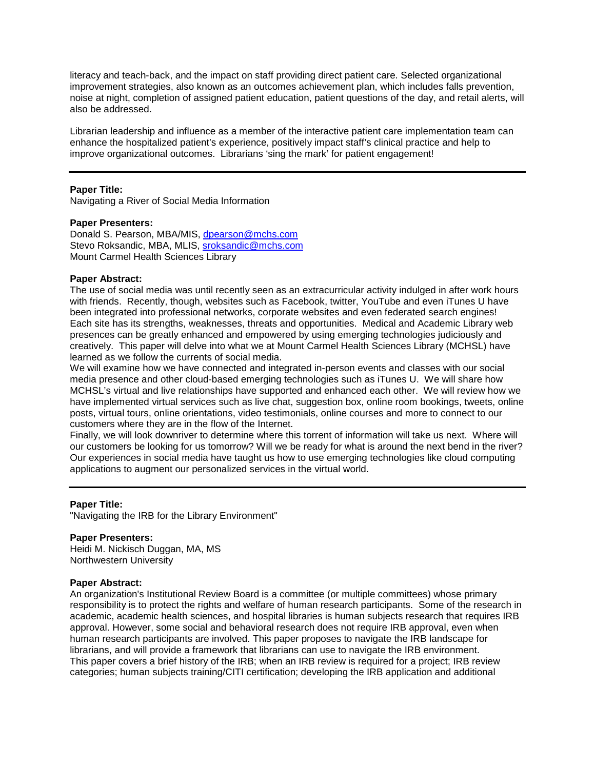literacy and teach-back, and the impact on staff providing direct patient care. Selected organizational improvement strategies, also known as an outcomes achievement plan, which includes falls prevention, noise at night, completion of assigned patient education, patient questions of the day, and retail alerts, will also be addressed.

Librarian leadership and influence as a member of the interactive patient care implementation team can enhance the hospitalized patient's experience, positively impact staff's clinical practice and help to improve organizational outcomes. Librarians 'sing the mark' for patient engagement!

# **Paper Title:**

Navigating a River of Social Media Information

# **Paper Presenters:**

Donald S. Pearson, MBA/MIS, [dpearson@mchs.com](mailto:dpearson@mchs.com) Stevo Roksandic, MBA, MLIS, [sroksandic@mchs.com](mailto:sroksandic@mchs.com) Mount Carmel Health Sciences Library

# **Paper Abstract:**

The use of social media was until recently seen as an extracurricular activity indulged in after work hours with friends. Recently, though, websites such as Facebook, twitter, YouTube and even iTunes U have been integrated into professional networks, corporate websites and even federated search engines! Each site has its strengths, weaknesses, threats and opportunities. Medical and Academic Library web presences can be greatly enhanced and empowered by using emerging technologies judiciously and creatively. This paper will delve into what we at Mount Carmel Health Sciences Library (MCHSL) have learned as we follow the currents of social media.

We will examine how we have connected and integrated in-person events and classes with our social media presence and other cloud-based emerging technologies such as iTunes U. We will share how MCHSL's virtual and live relationships have supported and enhanced each other. We will review how we have implemented virtual services such as live chat, suggestion box, online room bookings, tweets, online posts, virtual tours, online orientations, video testimonials, online courses and more to connect to our customers where they are in the flow of the Internet.

Finally, we will look downriver to determine where this torrent of information will take us next. Where will our customers be looking for us tomorrow? Will we be ready for what is around the next bend in the river? Our experiences in social media have taught us how to use emerging technologies like cloud computing applications to augment our personalized services in the virtual world.

## **Paper Title:**

"Navigating the IRB for the Library Environment"

## **Paper Presenters:**

Heidi M. Nickisch Duggan, MA, MS Northwestern University

## **Paper Abstract:**

An organization's Institutional Review Board is a committee (or multiple committees) whose primary responsibility is to protect the rights and welfare of human research participants. Some of the research in academic, academic health sciences, and hospital libraries is human subjects research that requires IRB approval. However, some social and behavioral research does not require IRB approval, even when human research participants are involved. This paper proposes to navigate the IRB landscape for librarians, and will provide a framework that librarians can use to navigate the IRB environment. This paper covers a brief history of the IRB; when an IRB review is required for a project; IRB review categories; human subjects training/CITI certification; developing the IRB application and additional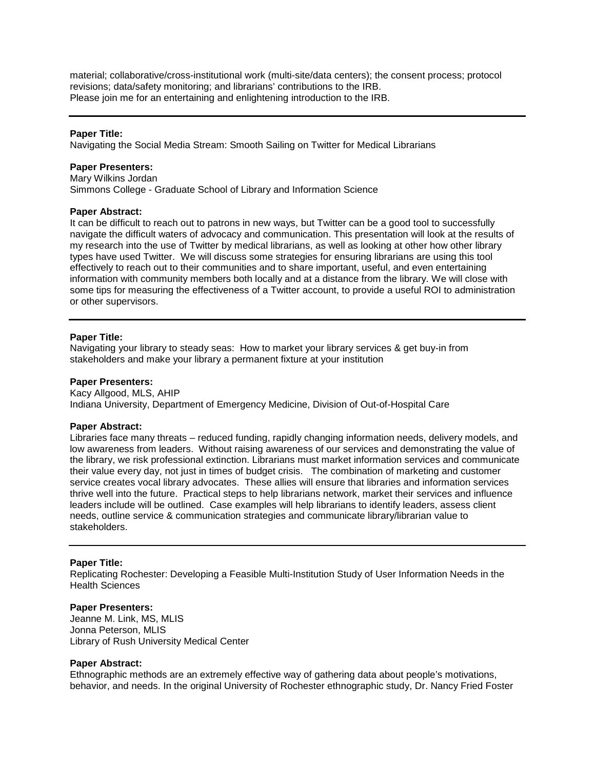material; collaborative/cross-institutional work (multi-site/data centers); the consent process; protocol revisions; data/safety monitoring; and librarians' contributions to the IRB. Please join me for an entertaining and enlightening introduction to the IRB.

# **Paper Title:**

Navigating the Social Media Stream: Smooth Sailing on Twitter for Medical Librarians

# **Paper Presenters:**

Mary Wilkins Jordan Simmons College - Graduate School of Library and Information Science

## **Paper Abstract:**

It can be difficult to reach out to patrons in new ways, but Twitter can be a good tool to successfully navigate the difficult waters of advocacy and communication. This presentation will look at the results of my research into the use of Twitter by medical librarians, as well as looking at other how other library types have used Twitter. We will discuss some strategies for ensuring librarians are using this tool effectively to reach out to their communities and to share important, useful, and even entertaining information with community members both locally and at a distance from the library. We will close with some tips for measuring the effectiveness of a Twitter account, to provide a useful ROI to administration or other supervisors.

# **Paper Title:**

Navigating your library to steady seas: How to market your library services & get buy-in from stakeholders and make your library a permanent fixture at your institution

# **Paper Presenters:**

Kacy Allgood, MLS, AHIP Indiana University, Department of Emergency Medicine, Division of Out-of-Hospital Care

## **Paper Abstract:**

Libraries face many threats – reduced funding, rapidly changing information needs, delivery models, and low awareness from leaders. Without raising awareness of our services and demonstrating the value of the library, we risk professional extinction. Librarians must market information services and communicate their value every day, not just in times of budget crisis. The combination of marketing and customer service creates vocal library advocates. These allies will ensure that libraries and information services thrive well into the future. Practical steps to help librarians network, market their services and influence leaders include will be outlined. Case examples will help librarians to identify leaders, assess client needs, outline service & communication strategies and communicate library/librarian value to stakeholders.

# **Paper Title:**

Replicating Rochester: Developing a Feasible Multi-Institution Study of User Information Needs in the Health Sciences

# **Paper Presenters:**

Jeanne M. Link, MS, MLIS Jonna Peterson, MLIS Library of Rush University Medical Center

## **Paper Abstract:**

Ethnographic methods are an extremely effective way of gathering data about people's motivations, behavior, and needs. In the original University of Rochester ethnographic study, Dr. Nancy Fried Foster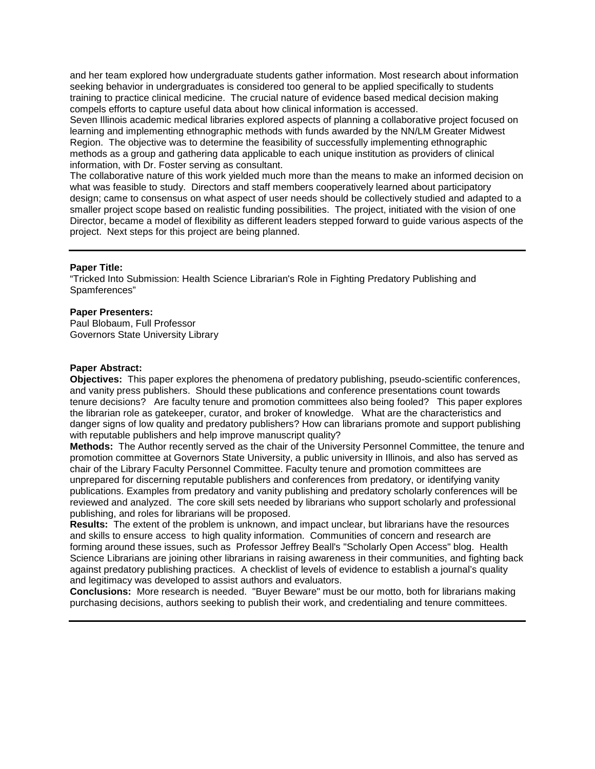and her team explored how undergraduate students gather information. Most research about information seeking behavior in undergraduates is considered too general to be applied specifically to students training to practice clinical medicine. The crucial nature of evidence based medical decision making compels efforts to capture useful data about how clinical information is accessed.

Seven Illinois academic medical libraries explored aspects of planning a collaborative project focused on learning and implementing ethnographic methods with funds awarded by the NN/LM Greater Midwest Region. The objective was to determine the feasibility of successfully implementing ethnographic methods as a group and gathering data applicable to each unique institution as providers of clinical information, with Dr. Foster serving as consultant.

The collaborative nature of this work yielded much more than the means to make an informed decision on what was feasible to study. Directors and staff members cooperatively learned about participatory design; came to consensus on what aspect of user needs should be collectively studied and adapted to a smaller project scope based on realistic funding possibilities. The project, initiated with the vision of one Director, became a model of flexibility as different leaders stepped forward to guide various aspects of the project. Next steps for this project are being planned.

# **Paper Title:**

"Tricked Into Submission: Health Science Librarian's Role in Fighting Predatory Publishing and Spamferences"

## **Paper Presenters:**

Paul Blobaum, Full Professor Governors State University Library

# **Paper Abstract:**

**Objectives:** This paper explores the phenomena of predatory publishing, pseudo-scientific conferences, and vanity press publishers. Should these publications and conference presentations count towards tenure decisions? Are faculty tenure and promotion committees also being fooled? This paper explores the librarian role as gatekeeper, curator, and broker of knowledge. What are the characteristics and danger signs of low quality and predatory publishers? How can librarians promote and support publishing with reputable publishers and help improve manuscript quality?

**Methods:** The Author recently served as the chair of the University Personnel Committee, the tenure and promotion committee at Governors State University, a public university in Illinois, and also has served as chair of the Library Faculty Personnel Committee. Faculty tenure and promotion committees are unprepared for discerning reputable publishers and conferences from predatory, or identifying vanity publications. Examples from predatory and vanity publishing and predatory scholarly conferences will be reviewed and analyzed. The core skill sets needed by librarians who support scholarly and professional publishing, and roles for librarians will be proposed.

**Results:** The extent of the problem is unknown, and impact unclear, but librarians have the resources and skills to ensure access to high quality information. Communities of concern and research are forming around these issues, such as Professor Jeffrey Beall's "Scholarly Open Access" blog. Health Science Librarians are joining other librarians in raising awareness in their communities, and fighting back against predatory publishing practices. A checklist of levels of evidence to establish a journal's quality and legitimacy was developed to assist authors and evaluators.

**Conclusions:** More research is needed. "Buyer Beware" must be our motto, both for librarians making purchasing decisions, authors seeking to publish their work, and credentialing and tenure committees.